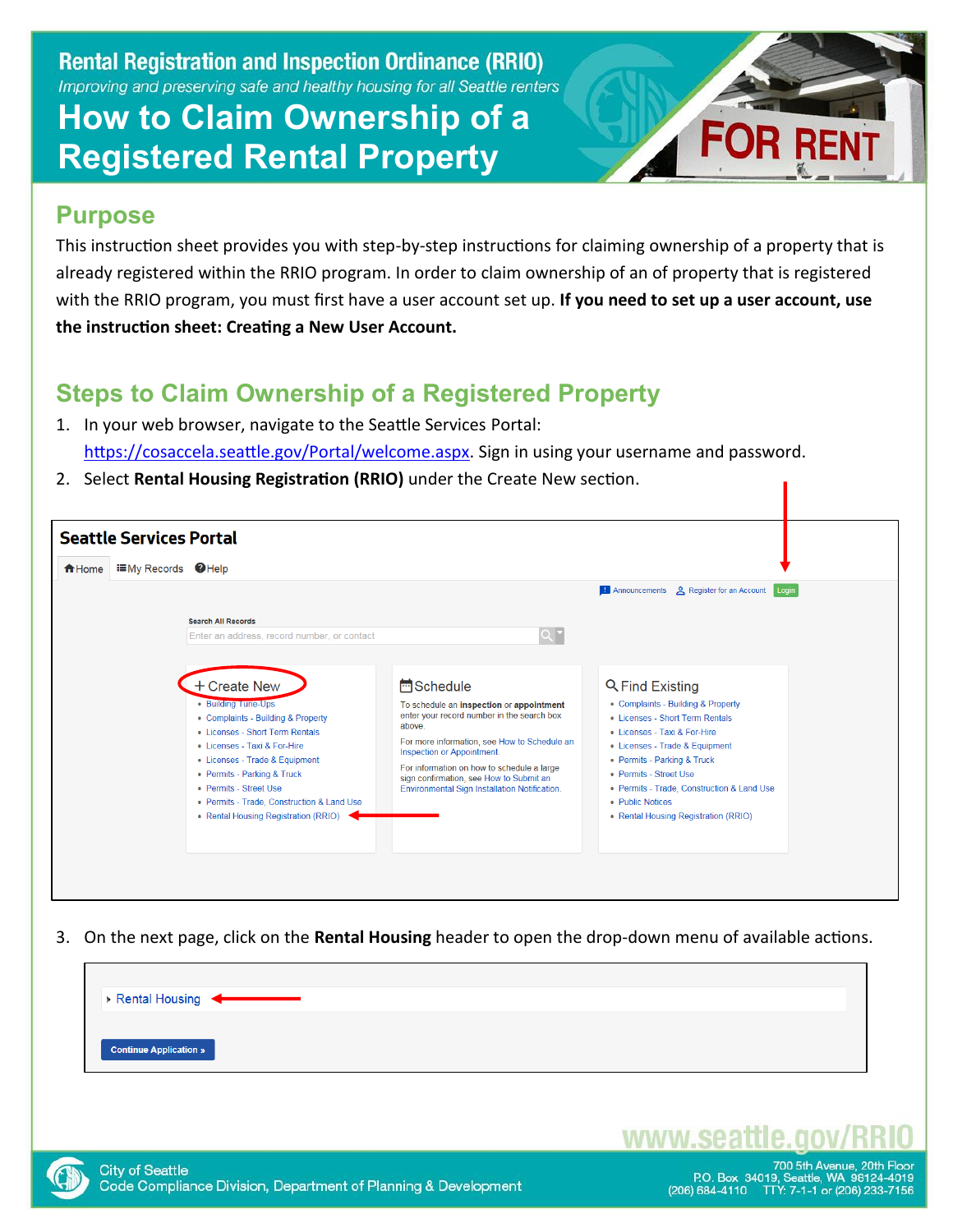#### **How to Claim Ownership of a Registered Rental Property**



#### **Purpose**

This instruction sheet provides you with step-by-step instructions for claiming ownership of a property that is already registered within the RRIO program. In order to claim ownership of an of property that is registered with the RRIO program, you must first have a user account set up. **If you need to set up a user account, use the instruction sheet: Creating a New User Account.**

#### **Steps to Claim Ownership of a Registered Property**

- 1. In your web browser, navigate to the Seattle Services Portal: [https://cosaccela.seattle.gov/Portal/welcome.aspx.](https://cosaccela.seattle.gov/Portal/welcome.aspx) Sign in using your username and password.
- 2. Select **Rental Housing Registration (RRIO)** under the Create New section.

| <b>EMy Records</b> ●Help<br><del>n</del> Home |                                                                                                                                                                                                                                                                                                                               |                                                                                                                                                                                                                                                                                                                                                      | <b>Example 2</b> Register for an Account<br>Login                                                                                                                                                                                                                                                                                    |
|-----------------------------------------------|-------------------------------------------------------------------------------------------------------------------------------------------------------------------------------------------------------------------------------------------------------------------------------------------------------------------------------|------------------------------------------------------------------------------------------------------------------------------------------------------------------------------------------------------------------------------------------------------------------------------------------------------------------------------------------------------|--------------------------------------------------------------------------------------------------------------------------------------------------------------------------------------------------------------------------------------------------------------------------------------------------------------------------------------|
|                                               | <b>Search All Records</b><br>Enter an address, record number, or contact                                                                                                                                                                                                                                                      | $Q^{\bullet}$                                                                                                                                                                                                                                                                                                                                        |                                                                                                                                                                                                                                                                                                                                      |
|                                               | + Create New<br>• Building Tune-Ups<br>• Complaints - Building & Property<br>• Licenses - Short Term Rentals<br>• Licenses - Taxi & For-Hire<br>• Licenses - Trade & Equipment<br>• Permits - Parking & Truck<br>• Permits - Street Use<br>• Permits - Trade, Construction & Land Use<br>• Rental Housing Registration (RRIO) | <b>H</b> Schedule<br>To schedule an inspection or appointment<br>enter your record number in the search box<br>above.<br>For more information, see How to Schedule an<br>Inspection or Appointment.<br>For information on how to schedule a large<br>sign confirmation, see How to Submit an<br><b>Environmental Sign Installation Notification.</b> | <b>Q</b> Find Existing<br>• Complaints - Building & Property<br>• Licenses - Short Term Rentals<br>• Licenses - Taxi & For-Hire<br>• Licenses - Trade & Equipment<br>• Permits - Parking & Truck<br>• Permits - Street Use<br>• Permits - Trade, Construction & Land Use<br>• Public Notices<br>• Rental Housing Registration (RRIO) |

3. On the next page, click on the **Rental Housing** header to open the drop-down menu of available actions.





www.sea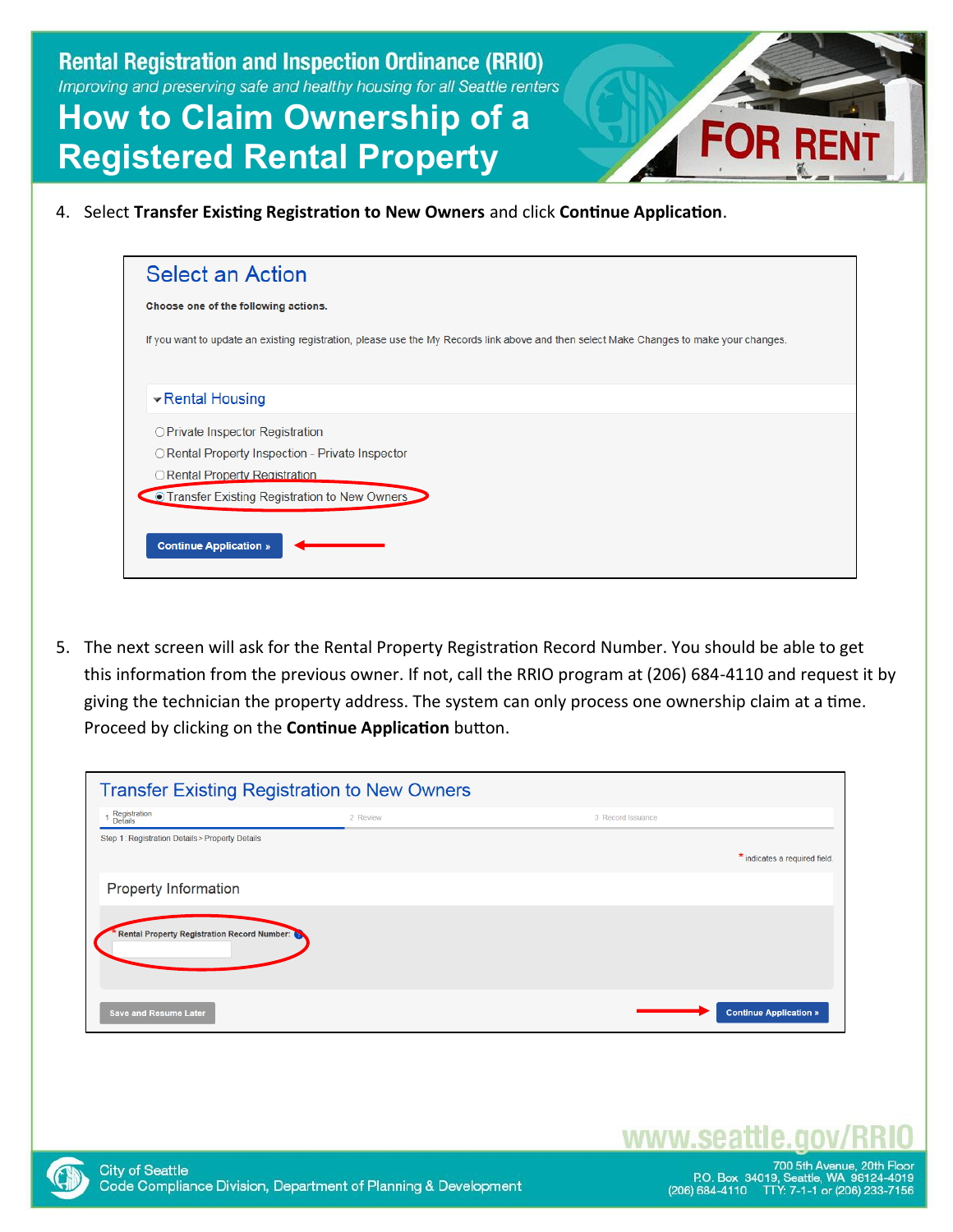### **How to Claim Ownership of a Registered Rental Property**

4. Select **Transfer Existing Registration to New Owners** and click **Continue Application**.

| <b>Select an Action</b>                                                                                                                 |
|-----------------------------------------------------------------------------------------------------------------------------------------|
| Choose one of the following actions.                                                                                                    |
| If you want to update an existing registration, please use the My Records link above and then select Make Changes to make your changes. |
| ▼ Rental Housing                                                                                                                        |
| ○ Private Inspector Registration                                                                                                        |
| ○ Rental Property Inspection - Private Inspector                                                                                        |
| ○ Rental Property Registration                                                                                                          |
| • Transfer Existing Registration to New Owners                                                                                          |
|                                                                                                                                         |
| <b>Continue Application »</b>                                                                                                           |
|                                                                                                                                         |

5. The next screen will ask for the Rental Property Registration Record Number. You should be able to get this information from the previous owner. If not, call the RRIO program at (206) 684-4110 and request it by giving the technician the property address. The system can only process one ownership claim at a time. Proceed by clicking on the **Continue Application** button.

| <b>Transfer Existing Registration to New Owners</b> |          |                   |                               |
|-----------------------------------------------------|----------|-------------------|-------------------------------|
| Registration<br>Details                             | 2 Review | 3 Record Issuance |                               |
| Step 1: Registration Details > Property Details     |          |                   |                               |
|                                                     |          |                   | * indicates a required field. |
| <b>Property Information</b>                         |          |                   |                               |
| Rental Property Registration Record Number:         |          |                   |                               |
| <b>Save and Resume Later</b>                        |          |                   | <b>Continue Application »</b> |



www.sea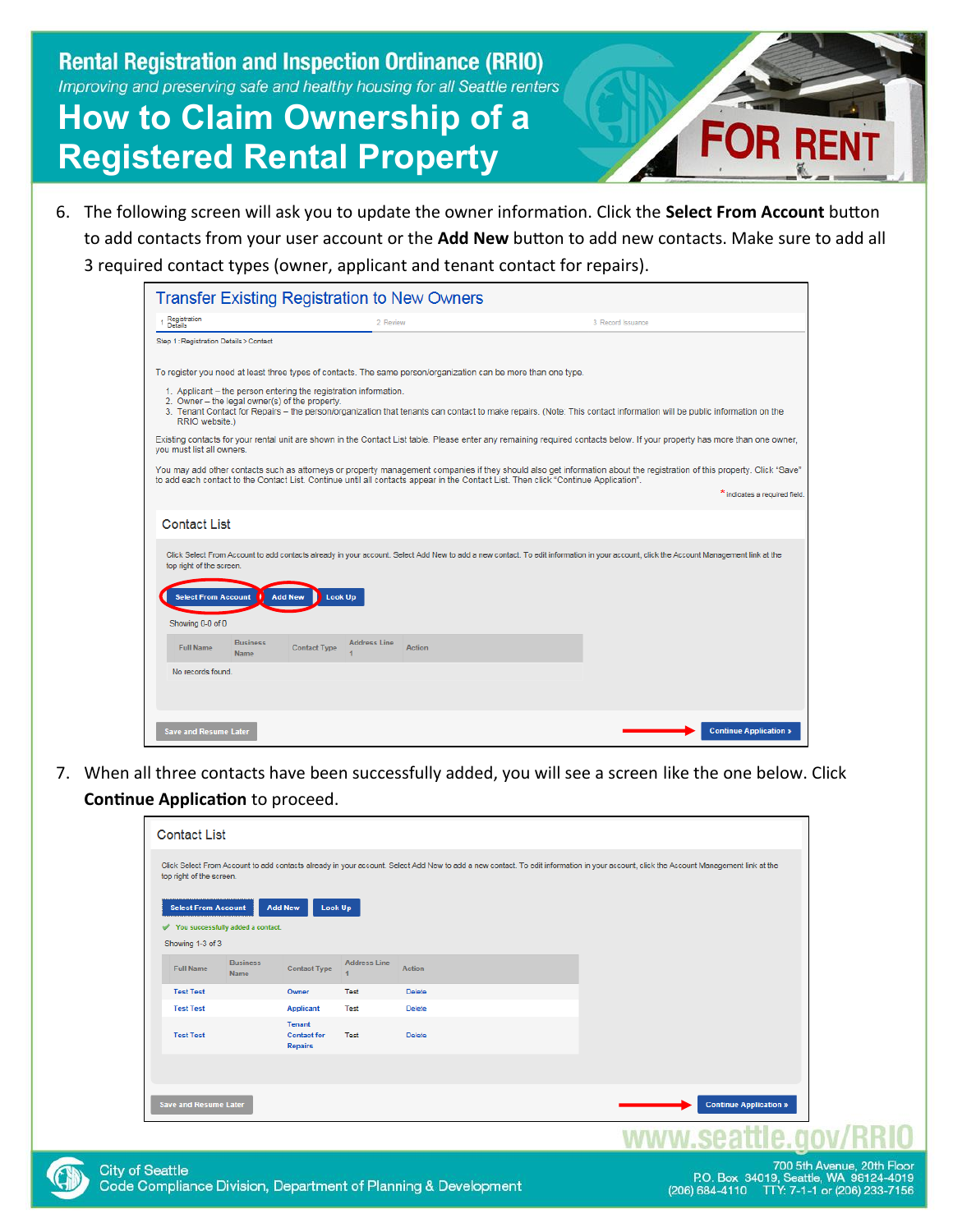### **How to Claim Ownership of a Registered Rental Property**



6. The following screen will ask you to update the owner information. Click the **Select From Account** button to add contacts from your user account or the **Add New** button to add new contacts. Make sure to add all 3 required contact types (owner, applicant and tenant contact for repairs).

| Registration<br>Details                |                                                                                                                    |                     |                                                                                                                                                                                                                                                                                                                |                   |                               |
|----------------------------------------|--------------------------------------------------------------------------------------------------------------------|---------------------|----------------------------------------------------------------------------------------------------------------------------------------------------------------------------------------------------------------------------------------------------------------------------------------------------------------|-------------------|-------------------------------|
|                                        |                                                                                                                    | 2 Review            |                                                                                                                                                                                                                                                                                                                | 3 Record Issuance |                               |
| Step 1: Registration Details > Contact |                                                                                                                    |                     |                                                                                                                                                                                                                                                                                                                |                   |                               |
|                                        |                                                                                                                    |                     | To register you need at least three types of contacts. The same person/organization can be more than one type.                                                                                                                                                                                                 |                   |                               |
| RRIO website.)                         | 1. Applicant – the person entering the registration information.<br>2. Owner - the legal owner(s) of the property. |                     | 3. Tenant Contact for Repairs – the person/organization that tenants can contact to make repairs. (Note: This contact information will be public information on the                                                                                                                                            |                   |                               |
| you must list all owners.              |                                                                                                                    |                     | Existing contacts for your rental unit are shown in the Contact List table. Please enter any remaining required contacts below. If your property has more than one owner,                                                                                                                                      |                   |                               |
|                                        |                                                                                                                    |                     | You may add other contacts such as attorneys or property management companies if they should also get information about the registration of this property. Click "Save"<br>to add each contact to the Contact List. Continue until all contacts appear in the Contact List. Then click "Continue Application". |                   |                               |
|                                        |                                                                                                                    |                     |                                                                                                                                                                                                                                                                                                                |                   | * indicates a required field. |
| <b>Contact List</b>                    |                                                                                                                    |                     |                                                                                                                                                                                                                                                                                                                |                   |                               |
|                                        |                                                                                                                    |                     | Click Select From Account to add contacts already in your account. Select Add New to add a new contact. To edit information in your account, click the Account Management link at the                                                                                                                          |                   |                               |
| top right of the screen.               |                                                                                                                    |                     |                                                                                                                                                                                                                                                                                                                |                   |                               |
| <b>Select From Account</b>             | <b>Add New</b>                                                                                                     | <b>Look Up</b>      |                                                                                                                                                                                                                                                                                                                |                   |                               |
| Showing 0-0 of 0                       |                                                                                                                    |                     |                                                                                                                                                                                                                                                                                                                |                   |                               |
| <b>Full Name</b>                       | <b>Business</b><br><b>Contact Type</b><br><b>Name</b>                                                              | <b>Address Line</b> | <b>Action</b>                                                                                                                                                                                                                                                                                                  |                   |                               |
| No records found.                      |                                                                                                                    |                     |                                                                                                                                                                                                                                                                                                                |                   |                               |
|                                        |                                                                                                                    |                     |                                                                                                                                                                                                                                                                                                                |                   |                               |

7. When all three contacts have been successfully added, you will see a screen like the one below. Click **Continue Application** to proceed.

| <b>Select From Account</b> |                                   | Look Up<br><b>Add New</b>                      |                     |               |  |
|----------------------------|-----------------------------------|------------------------------------------------|---------------------|---------------|--|
| Showing 1-3 of 3           | You successfully added a contact. |                                                |                     |               |  |
| <b>Full Name</b>           | <b>Business</b><br>Name           | <b>Contact Type</b>                            | <b>Address Line</b> | <b>Action</b> |  |
| <b>Test Test</b>           |                                   | Owner                                          | Test                | Delete        |  |
| <b>Test Test</b>           |                                   | <b>Applicant</b>                               | Test                | Delete        |  |
| <b>Test Test</b>           |                                   | Tenant<br><b>Contact for</b><br><b>Repairs</b> | Test                | Delete        |  |
|                            |                                   |                                                |                     |               |  |
|                            |                                   |                                                |                     |               |  |

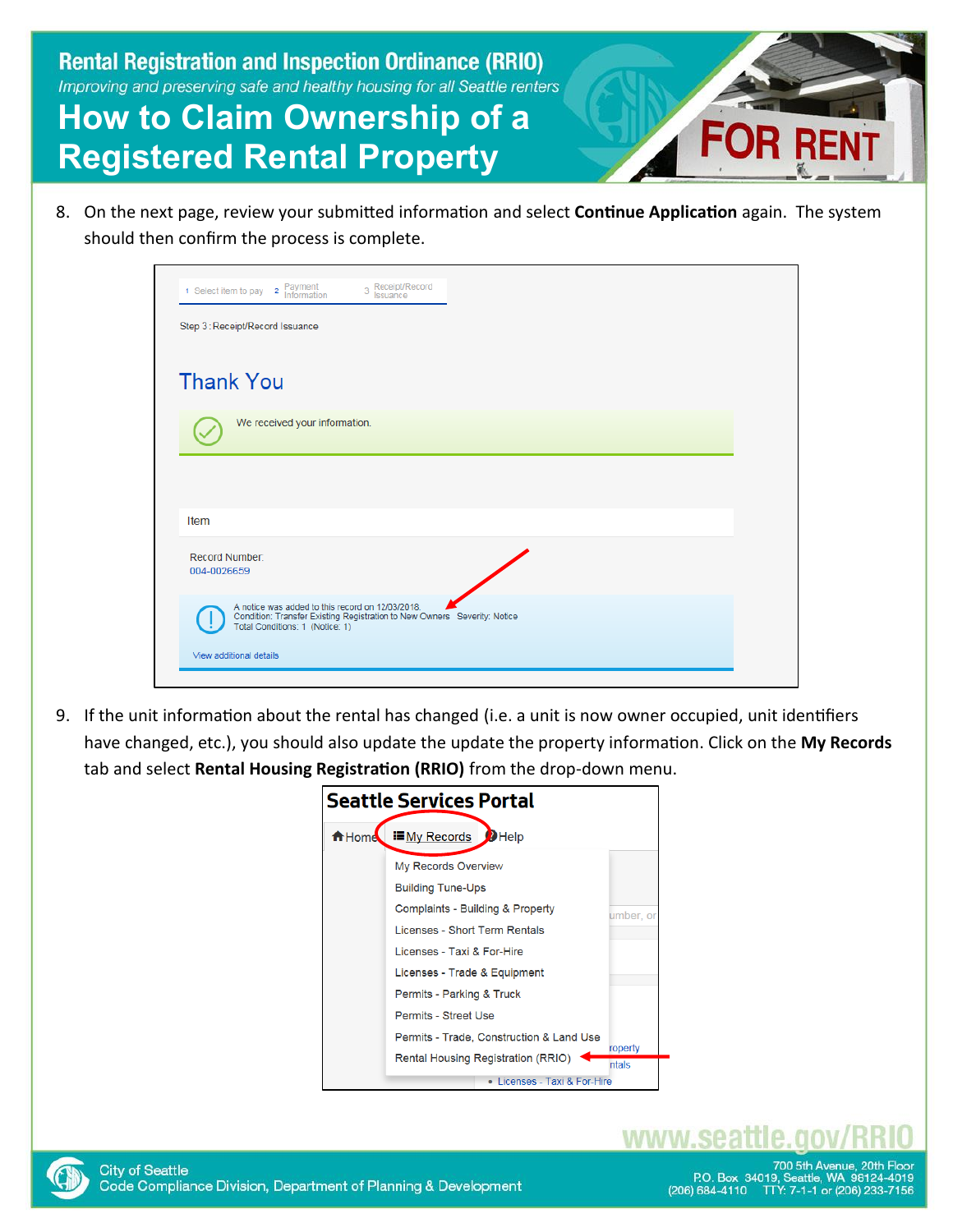# **How to Claim Ownership of a Registered Rental Property**

8. On the next page, review your submitted information and select **Continue Application** again. The system should then confirm the process is complete.

| 2 Payment<br>Information<br>1 Select item to pay           | 3 Receipt/Record<br>Issuance                                             |  |  |
|------------------------------------------------------------|--------------------------------------------------------------------------|--|--|
| Step 3: Receipt/Record Issuance                            |                                                                          |  |  |
| <b>Thank You</b><br>We received your information.          |                                                                          |  |  |
|                                                            |                                                                          |  |  |
| Item                                                       |                                                                          |  |  |
| Record Number:                                             |                                                                          |  |  |
| 004-0026659                                                | A notice was added to this record on 12/03/2018.                         |  |  |
|                                                            | Condition: Transfer Existing Registration to New Owners Severity: Notice |  |  |
| Total Conditions: 1 (Notice: 1)<br>View additional details |                                                                          |  |  |

9. If the unit information about the rental has changed (i.e. a unit is now owner occupied, unit identifiers have changed, etc.), you should also update the update the property information. Click on the **My Records** tab and select **Rental Housing Registration (RRIO)** from the drop-down menu.